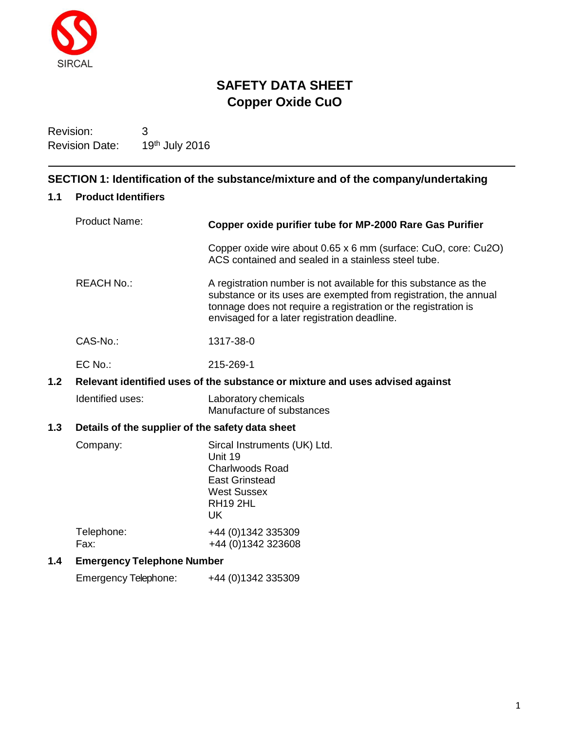

# **SAFETY DATA SHEET Copper Oxide CuO**

Revision: 3 Revision Date: 19th July 2016

# **SECTION 1: Identification of the substance/mixture and of the company/undertaking**

# **1.1 Product Identifiers**

|                                                         | <b>Product Name:</b>                                                          | Copper oxide purifier tube for MP-2000 Rare Gas Purifier                                                                                                                                                                                               |  |
|---------------------------------------------------------|-------------------------------------------------------------------------------|--------------------------------------------------------------------------------------------------------------------------------------------------------------------------------------------------------------------------------------------------------|--|
|                                                         |                                                                               | Copper oxide wire about 0.65 x 6 mm (surface: CuO, core: Cu2O)<br>ACS contained and sealed in a stainless steel tube.                                                                                                                                  |  |
|                                                         | <b>REACH No.:</b>                                                             | A registration number is not available for this substance as the<br>substance or its uses are exempted from registration, the annual<br>tonnage does not require a registration or the registration is<br>envisaged for a later registration deadline. |  |
|                                                         | CAS-No.:                                                                      | 1317-38-0                                                                                                                                                                                                                                              |  |
|                                                         | EC No.:                                                                       | 215-269-1                                                                                                                                                                                                                                              |  |
| 1.2                                                     | Relevant identified uses of the substance or mixture and uses advised against |                                                                                                                                                                                                                                                        |  |
|                                                         | Identified uses:                                                              | Laboratory chemicals<br>Manufacture of substances                                                                                                                                                                                                      |  |
| 1.3<br>Details of the supplier of the safety data sheet |                                                                               |                                                                                                                                                                                                                                                        |  |
|                                                         | Company:                                                                      | Sircal Instruments (UK) Ltd.<br>Unit 19<br><b>Charlwoods Road</b><br><b>East Grinstead</b><br><b>West Sussex</b><br><b>RH19 2HL</b><br><b>UK</b>                                                                                                       |  |
|                                                         | Telephone:<br>Fax:                                                            | +44 (0) 1342 335309<br>+44 (0) 1342 323608                                                                                                                                                                                                             |  |
| 1.4                                                     | <b>Emergency Telephone Number</b>                                             |                                                                                                                                                                                                                                                        |  |
|                                                         | Emergency Telephone:                                                          | +44 (0) 1342 335309                                                                                                                                                                                                                                    |  |
|                                                         |                                                                               |                                                                                                                                                                                                                                                        |  |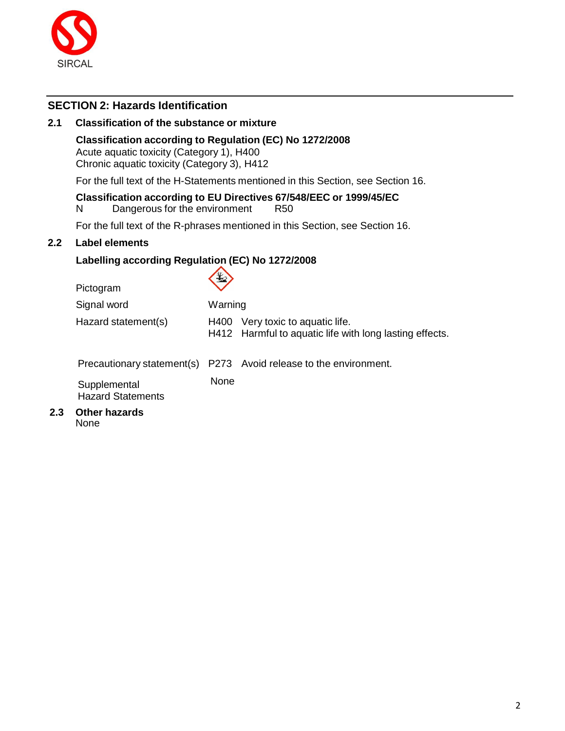

# **SECTION 2: Hazards Identification**

### **2.1 Classification of the substance or mixture**

### **Classification according to Regulation (EC) No 1272/2008**

Acute aquatic toxicity (Category 1), H400 Chronic aquatic toxicity (Category 3), H412

For the full text of the H-Statements mentioned in this Section, see Section 16.

# **Classification according to EU Directives 67/548/EEC or 1999/45/EC**

N Dangerous for the environment R50

For the full text of the R-phrases mentioned in this Section, see Section 16.

### **2.2 Label elements**

### **Labelling according Regulation (EC) No 1272/2008**  $\sqrt{2}$

| Pictogram                                | +2      |                                                                                        |
|------------------------------------------|---------|----------------------------------------------------------------------------------------|
| Signal word                              | Warning |                                                                                        |
| Hazard statement(s)                      | H400    | Very toxic to aquatic life.<br>H412 Harmful to aquatic life with long lasting effects. |
|                                          |         | Precautionary statement(s) P273 Avoid release to the environment.                      |
| Supplemental<br><b>Hazard Statements</b> | None    |                                                                                        |
| <b>Other hazards</b>                     |         |                                                                                        |

None

**2.3 Other hazards**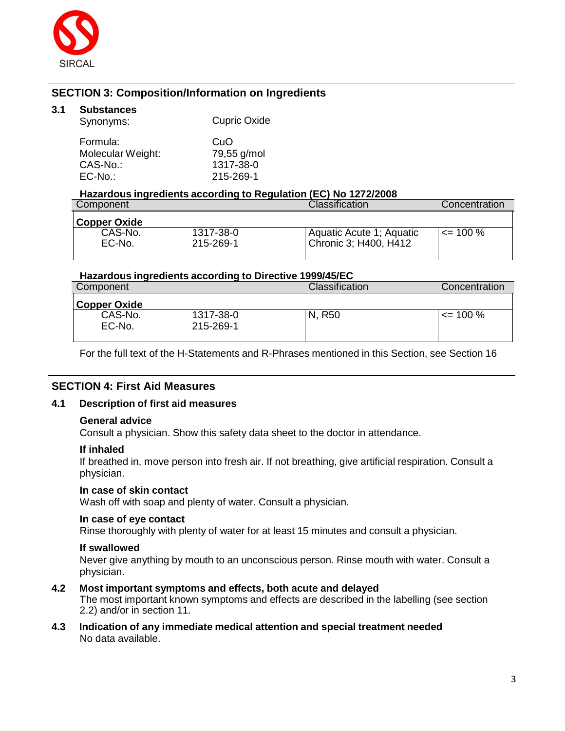

# **SECTION 3: Composition/Information on Ingredients**

### **3.1 Substances**

| Synonyms:         | <b>Cupric Oxide</b> |
|-------------------|---------------------|
| Formula:          | CuO                 |
| Molecular Weight: | 79,55 g/mol         |
| CAS-No.:          | 1317-38-0           |
| $EC-No.$          | 215-269-1           |

### **Hazardous ingredients according to Regulation (EC) No 1272/2008**

| Component         |                        | <b>Classification</b>                             | Concentration |
|-------------------|------------------------|---------------------------------------------------|---------------|
| Copper Oxide      |                        |                                                   |               |
| CAS-No.<br>EC-No. | 1317-38-0<br>215-269-1 | Aquatic Acute 1; Aquatic<br>Chronic 3; H400, H412 | $\leq$ 100 %  |

### **Hazardous ingredients according to Directive 1999/45/EC**

| Component           |                        | Classification | Concentration |
|---------------------|------------------------|----------------|---------------|
| <b>Copper Oxide</b> |                        |                |               |
| CAS-No.<br>EC-No.   | 1317-38-0<br>215-269-1 | R50<br>N.      | $\leq$ 100 %  |
|                     |                        |                |               |

For the full text of the H-Statements and R-Phrases mentioned in this Section, see Section 16

### **SECTION 4: First Aid Measures**

### **4.1 Description of first aid measures**

### **General advice**

Consult a physician. Show this safety data sheet to the doctor in attendance.

### **If inhaled**

If breathed in, move person into fresh air. If not breathing, give artificial respiration. Consult a physician.

### **In case of skin contact**

Wash off with soap and plenty of water. Consult a physician.

### **In case of eye contact**

Rinse thoroughly with plenty of water for at least 15 minutes and consult a physician.

### **If swallowed**

Never give anything by mouth to an unconscious person. Rinse mouth with water. Consult a physician.

### **4.2 Most important symptoms and effects, both acute and delayed**

The most important known symptoms and effects are described in the labelling (see section 2.2) and/or in section 11.

**4.3 Indication of any immediate medical attention and special treatment needed** No data available.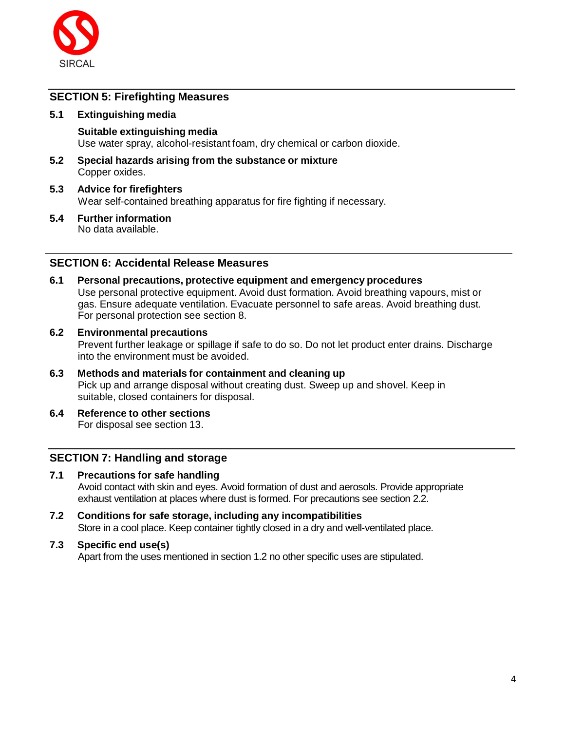

# **SECTION 5: Firefighting Measures**

### **5.1 Extinguishing media**

**Suitable extinguishing media** Use water spray, alcohol-resistant foam, dry chemical or carbon dioxide.

- **5.2 Special hazards arising from the substance or mixture** Copper oxides.
- **5.3 Advice for firefighters** Wear self-contained breathing apparatus for fire fighting if necessary.
- **5.4 Further information** No data available.

# **SECTION 6: Accidental Release Measures**

- **6.1 Personal precautions, protective equipment and emergency procedures** Use personal protective equipment. Avoid dust formation. Avoid breathing vapours, mist or gas. Ensure adequate ventilation. Evacuate personnel to safe areas. Avoid breathing dust. For personal protection see section 8.
- **6.2 Environmental precautions** Prevent further leakage or spillage if safe to do so. Do not let product enter drains. Discharge into the environment must be avoided.
- **6.3 Methods and materials for containment and cleaning up** Pick up and arrange disposal without creating dust. Sweep up and shovel. Keep in suitable, closed containers for disposal.
- **6.4 Reference to other sections** For disposal see section 13.

# **SECTION 7: Handling and storage**

- **7.1 Precautions for safe handling** Avoid contact with skin and eyes. Avoid formation of dust and aerosols. Provide appropriate exhaust ventilation at places where dust is formed. For precautions see section 2.2.
- **7.2 Conditions for safe storage, including any incompatibilities** Store in a cool place. Keep container tightly closed in a dry and well-ventilated place.
- **7.3 Specific end use(s)** Apart from the uses mentioned in section 1.2 no other specific uses are stipulated.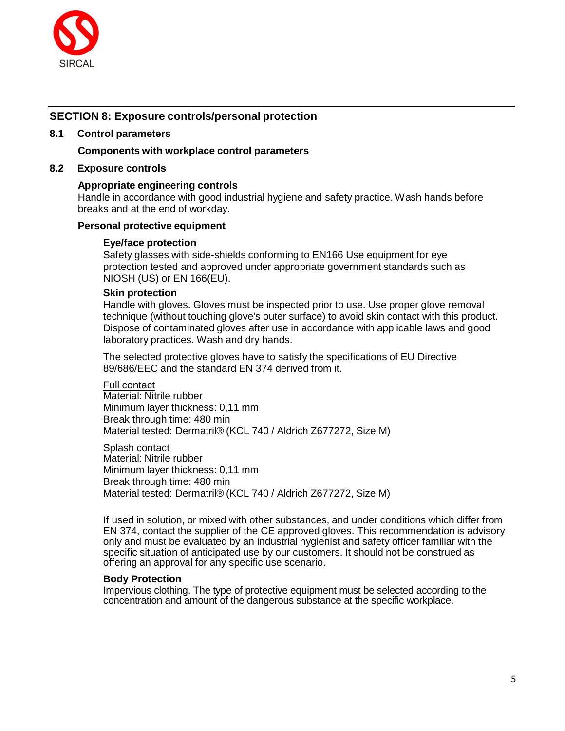

# **SECTION 8: Exposure controls/personal protection**

### **8.1 Control parameters**

### **Components with workplace control parameters**

### **8.2 Exposure controls**

### **Appropriate engineering controls**

Handle in accordance with good industrial hygiene and safety practice. Wash hands before breaks and at the end of workday.

### **Personal protective equipment**

#### **Eye/face protection**

Safety glasses with side-shields conforming to EN166 Use equipment for eye protection tested and approved under appropriate government standards such as NIOSH (US) or EN 166(EU).

### **Skin protection**

Handle with gloves. Gloves must be inspected prior to use. Use proper glove removal technique (without touching glove's outer surface) to avoid skin contact with this product. Dispose of contaminated gloves after use in accordance with applicable laws and good laboratory practices. Wash and dry hands.

The selected protective gloves have to satisfy the specifications of EU Directive 89/686/EEC and the standard EN 374 derived from it.

#### Full contact

Material: Nitrile rubber Minimum layer thickness: 0,11 mm Break through time: 480 min Material tested: Dermatril® (KCL 740 / Aldrich Z677272, Size M)

Splash contact Material: Nitrile rubber Minimum layer thickness: 0,11 mm Break through time: 480 min Material tested: Dermatril® (KCL 740 / Aldrich Z677272, Size M)

If used in solution, or mixed with other substances, and under conditions which differ from EN 374, contact the supplier of the CE approved gloves. This recommendation is advisory only and must be evaluated by an industrial hygienist and safety officer familiar with the specific situation of anticipated use by our customers. It should not be construed as offering an approval for any specific use scenario.

#### **Body Protection**

Impervious clothing. The type of protective equipment must be selected according to the concentration and amount of the dangerous substance at the specific workplace.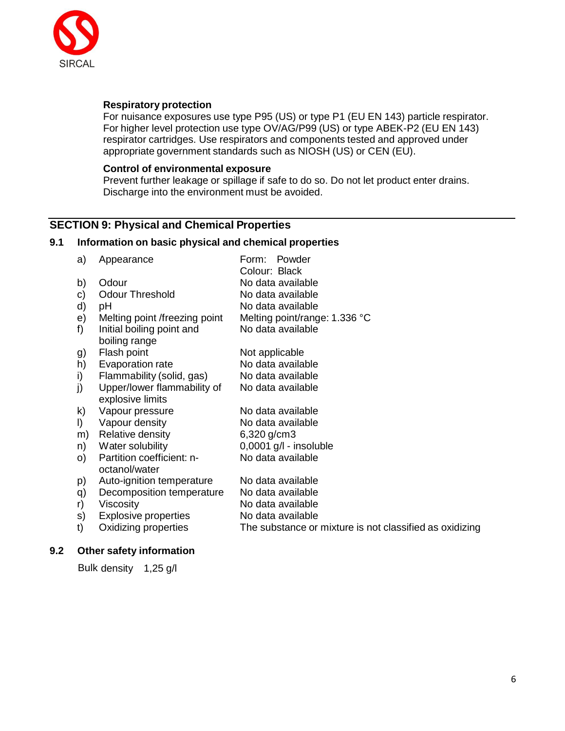

### **Respiratory protection**

For nuisance exposures use type P95 (US) or type P1 (EU EN 143) particle respirator. For higher level protection use type OV/AG/P99 (US) or type ABEK-P2 (EU EN 143) respirator cartridges. Use respirators and components tested and approved under appropriate government standards such as NIOSH (US) or CEN (EU).

### **Control of environmental exposure**

Prevent further leakage or spillage if safe to do so. Do not let product enter drains. Discharge into the environment must be avoided.

# **SECTION 9: Physical and Chemical Properties**

### **9.1 Information on basic physical and chemical properties**

| a)      | Appearance                    | Powder<br>Form:                                         |
|---------|-------------------------------|---------------------------------------------------------|
|         |                               | Colour: Black                                           |
| b)      | Odour                         | No data available                                       |
| C)      | <b>Odour Threshold</b>        | No data available                                       |
| d)      | рH                            | No data available                                       |
| e)      | Melting point /freezing point | Melting point/range: 1.336 °C                           |
| f       | Initial boiling point and     | No data available                                       |
|         | boiling range                 |                                                         |
| g)      | Flash point                   | Not applicable                                          |
| h)      | Evaporation rate              | No data available                                       |
| i)      | Flammability (solid, gas)     | No data available                                       |
| j)      | Upper/lower flammability of   | No data available                                       |
|         | explosive limits              |                                                         |
| k)      | Vapour pressure               | No data available                                       |
| $\vert$ | Vapour density                | No data available                                       |
| m)      | Relative density              | 6,320 g/cm3                                             |
| n)      | Water solubility              | $0,0001$ g/l - insoluble                                |
| O)      | Partition coefficient: n-     | No data available                                       |
|         | octanol/water                 |                                                         |
| p)      | Auto-ignition temperature     | No data available                                       |
| q)      | Decomposition temperature     | No data available                                       |
| r)      | Viscosity                     | No data available                                       |
| S)      | <b>Explosive properties</b>   | No data available                                       |
| t)      | Oxidizing properties          | The substance or mixture is not classified as oxidizing |
|         |                               |                                                         |

### **9.2 Other safety information**

Bulk density 1,25 g/l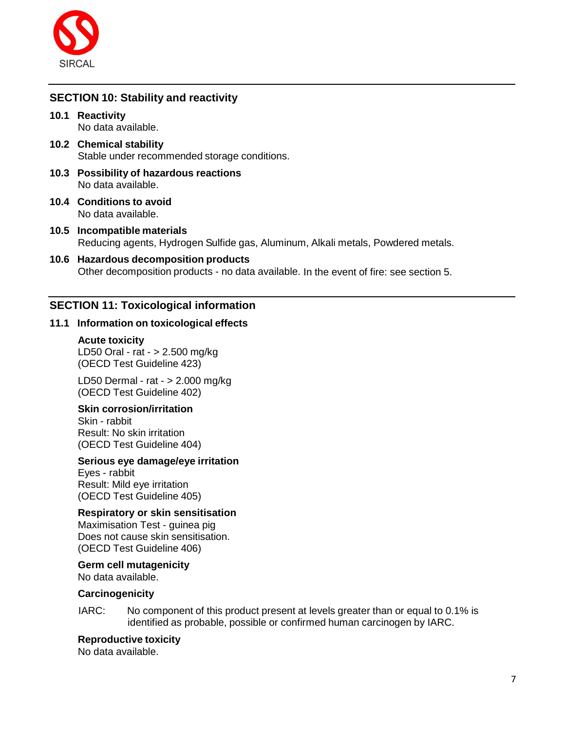

# **SECTION 10: Stability and reactivity**

**10.1 Reactivity**

No data available.

- **10.2 Chemical stability** Stable under recommended storage conditions.
- **10.3 Possibility of hazardous reactions** No data available.
- **10.4 Conditions to avoid** No data available.
- **10.5 Incompatible materials** Reducing agents, Hydrogen Sulfide gas, Aluminum, Alkali metals, Powdered metals.
- **10.6 Hazardous decomposition products** Other decomposition products - no data available. In the event of fire: see section 5.

# **SECTION 11: Toxicological information**

### **11.1 Information on toxicological effects**

**Acute toxicity** LD50 Oral - rat - > 2.500 mg/kg (OECD Test Guideline 423)

LD50 Dermal - rat - > 2.000 mg/kg (OECD Test Guideline 402)

### **Skin corrosion/irritation**

Skin - rabbit Result: No skin irritation (OECD Test Guideline 404)

### **Serious eye damage/eye irritation**

Eyes - rabbit Result: Mild eye irritation (OECD Test Guideline 405)

### **Respiratory or skin sensitisation**

Maximisation Test - guinea pig Does not cause skin sensitisation. (OECD Test Guideline 406)

# **Germ cell mutagenicity**

No data available.

### **Carcinogenicity**

IARC: No component of this product present at levels greater than or equal to 0.1% is identified as probable, possible or confirmed human carcinogen by IARC.

### **Reproductive toxicity**

No data available.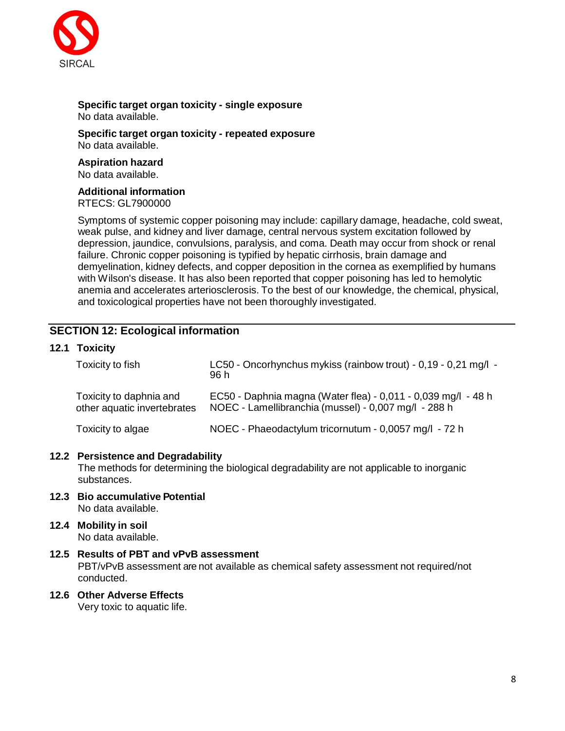

#### **Specific target organ toxicity - single exposure** No data available.

**Specific target organ toxicity - repeated exposure** No data available.

**Aspiration hazard** No data available.

### **Additional information**

RTECS: GL7900000

Symptoms of systemic copper poisoning may include: capillary damage, headache, cold sweat, weak pulse, and kidney and liver damage, central nervous system excitation followed by depression, jaundice, convulsions, paralysis, and coma. Death may occur from shock or renal failure. Chronic copper poisoning is typified by hepatic cirrhosis, brain damage and demyelination, kidney defects, and copper deposition in the cornea as exemplified by humans with Wilson's disease. It has also been reported that copper poisoning has led to hemolytic anemia and accelerates arteriosclerosis. To the best of our knowledge, the chemical, physical, and toxicological properties have not been thoroughly investigated.

# **SECTION 12: Ecological information**

### **12.1 Toxicity**

| Toxicity to fish                                       | LC50 - Oncorhynchus mykiss (rainbow trout) - 0,19 - 0,21 mg/l -<br>96 h                                               |
|--------------------------------------------------------|-----------------------------------------------------------------------------------------------------------------------|
| Toxicity to daphnia and<br>other aquatic invertebrates | EC50 - Daphnia magna (Water flea) - 0,011 - 0,039 mg/l - 48 h<br>NOEC - Lamellibranchia (mussel) - 0,007 mg/l - 288 h |
| Toxicity to algae                                      | NOEC - Phaeodactylum tricornutum - 0,0057 mg/l - 72 h                                                                 |

### **12.2 Persistence and Degradability**

The methods for determining the biological degradability are not applicable to inorganic substances.

- **12.3 Bio accumulative Potential** No data available.
- **12.4 Mobility in soil** No data available.

### **12.5 Results of PBT and vPvB assessment** PBT/vPvB assessment are not available as chemical safety assessment not required/not conducted.

**12.6 Other Adverse Effects**

Very toxic to aquatic life.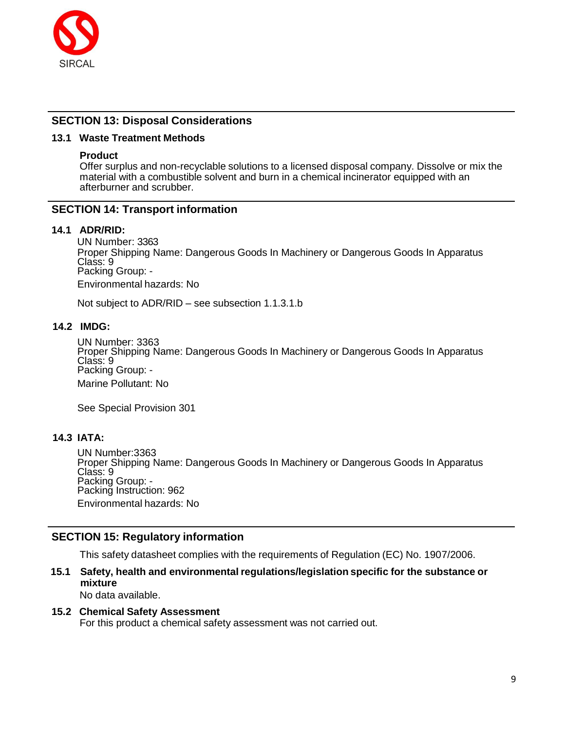

## **SECTION 13: Disposal Considerations**

### **13.1 Waste Treatment Methods**

### **Product**

Offer surplus and non-recyclable solutions to a licensed disposal company. Dissolve or mix the material with a combustible solvent and burn in a chemical incinerator equipped with an afterburner and scrubber.

### **SECTION 14: Transport information**

### **14.1 ADR/RID:**

UN Number: 3363 Proper Shipping Name: Dangerous Goods In Machinery or Dangerous Goods In Apparatus Class: 9 Packing Group: - Environmental hazards: No

Not subject to ADR/RID – see subsection 1.1.3.1.b

### **14.2 IMDG:**

UN Number: 3363 Proper Shipping Name: Dangerous Goods In Machinery or Dangerous Goods In Apparatus Class: 9 Packing Group: - Marine Pollutant: No

See Special Provision 301

## **14.3 IATA:**

UN Number:3363 Proper Shipping Name: Dangerous Goods In Machinery or Dangerous Goods In Apparatus Class: 9 Packing Group: - Packing Instruction: 962 Environmental hazards: No

### **SECTION 15: Regulatory information**

This safety datasheet complies with the requirements of Regulation (EC) No. 1907/2006.

# **15.1 Safety, health and environmental regulations/legislation specific for the substance or mixture**

No data available.

### **15.2 Chemical Safety Assessment**

For this product a chemical safety assessment was not carried out.